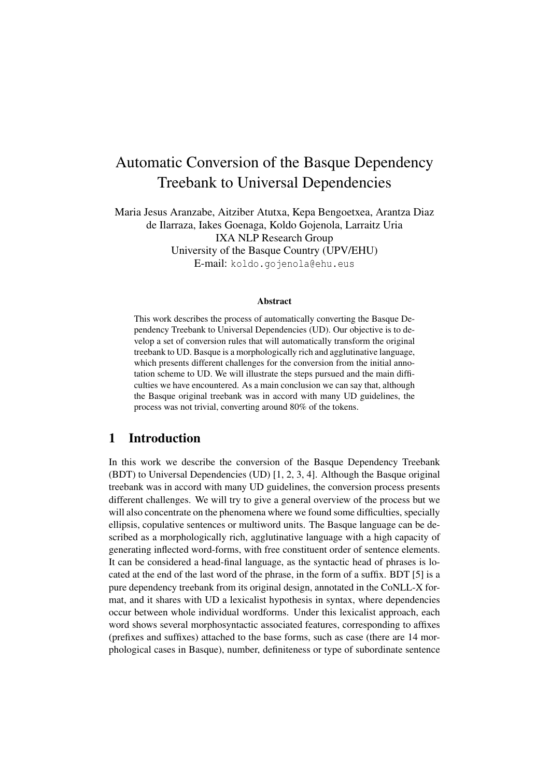# Automatic Conversion of the Basque Dependency Treebank to Universal Dependencies

Maria Jesus Aranzabe, Aitziber Atutxa, Kepa Bengoetxea, Arantza Diaz de Ilarraza, Iakes Goenaga, Koldo Gojenola, Larraitz Uria IXA NLP Research Group University of the Basque Country (UPV/EHU) E-mail: koldo.gojenola@ehu.eus

#### Abstract

This work describes the process of automatically converting the Basque Dependency Treebank to Universal Dependencies (UD). Our objective is to develop a set of conversion rules that will automatically transform the original treebank to UD. Basque is a morphologically rich and agglutinative language, which presents different challenges for the conversion from the initial annotation scheme to UD. We will illustrate the steps pursued and the main difficulties we have encountered. As a main conclusion we can say that, although the Basque original treebank was in accord with many UD guidelines, the process was not trivial, converting around 80% of the tokens.

### 1 Introduction

In this work we describe the conversion of the Basque Dependency Treebank (BDT) to Universal Dependencies (UD) [1, 2, 3, 4]. Although the Basque original treebank was in accord with many UD guidelines, the conversion process presents different challenges. We will try to give a general overview of the process but we will also concentrate on the phenomena where we found some difficulties, specially ellipsis, copulative sentences or multiword units. The Basque language can be described as a morphologically rich, agglutinative language with a high capacity of generating inflected word-forms, with free constituent order of sentence elements. It can be considered a head-final language, as the syntactic head of phrases is located at the end of the last word of the phrase, in the form of a suffix. BDT [5] is a pure dependency treebank from its original design, annotated in the CoNLL-X format, and it shares with UD a lexicalist hypothesis in syntax, where dependencies occur between whole individual wordforms. Under this lexicalist approach, each word shows several morphosyntactic associated features, corresponding to affixes (prefixes and suffixes) attached to the base forms, such as case (there are 14 morphological cases in Basque), number, definiteness or type of subordinate sentence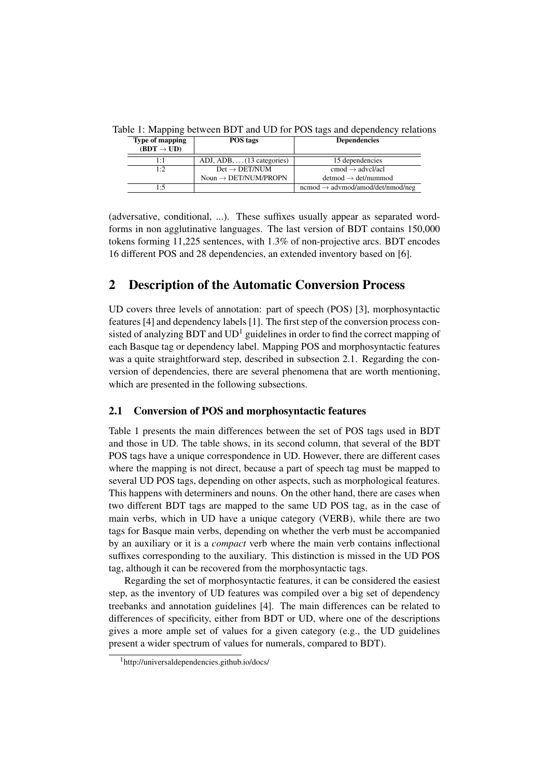| POS tags                          | <b>Dependencies</b>                             |
|-----------------------------------|-------------------------------------------------|
| ADJ, ADB, $\dots$ (13 categories) | 15 dependencies                                 |
| $Det \rightarrow DET/NUM$         | $\text{cmod} \rightarrow \text{advel/acl}$      |
| Noun $\rightarrow$ DET/NUM/PROPN  | $detmod \rightarrow det/nummod$                 |
|                                   | $n$ cmod $\rightarrow$ advmod/amod/det/nmod/neg |
|                                   |                                                 |

Table 1: Mapping between BDT and UD for POS tags and dependency relations

(adversative, conditional, ...). These suffixes usually appear as separated wordforms in non agglutinative languages. The last version of BDT contains 150,000 tokens forming 11,225 sentences, with 1.3% of non-projective arcs. BDT encodes 16 different POS and 28 dependencies, an extended inventory based on [6].

## 2 Description of the Automatic Conversion Process

UD covers three levels of annotation: part of speech (POS) [3], morphosyntactic features [4] and dependency labels [1]. The first step of the conversion process consisted of analyzing BDT and  $UD<sup>1</sup>$  guidelines in order to find the correct mapping of each Basque tag or dependency label. Mapping POS and morphosyntactic features was a quite straightforward step, described in subsection 2.1. Regarding the conversion of dependencies, there are several phenomena that are worth mentioning, which are presented in the following subsections.

## 2.1 Conversion of POS and morphosyntactic features

Table 1 presents the main differences between the set of POS tags used in BDT and those in UD. The table shows, in its second column, that several of the BDT POS tags have a unique correspondence in UD. However, there are different cases where the mapping is not direct, because a part of speech tag must be mapped to several UD POS tags, depending on other aspects, such as morphological features. This happens with determiners and nouns. On the other hand, there are cases when two different BDT tags are mapped to the same UD POS tag, as in the case of main verbs, which in UD have a unique category (VERB), while there are two tags for Basque main verbs, depending on whether the verb must be accompanied by an auxiliary or it is a *compact* verb where the main verb contains inflectional suffixes corresponding to the auxiliary. This distinction is missed in the UD POS tag, although it can be recovered from the morphosyntactic tags.

Regarding the set of morphosyntactic features, it can be considered the easiest step, as the inventory of UD features was compiled over a big set of dependency treebanks and annotation guidelines [4]. The main differences can be related to differences of specificity, either from BDT or UD, where one of the descriptions gives a more ample set of values for a given category (e.g., the UD guidelines present a wider spectrum of values for numerals, compared to BDT).

<sup>&</sup>lt;sup>1</sup>http://universaldependencies.github.io/docs/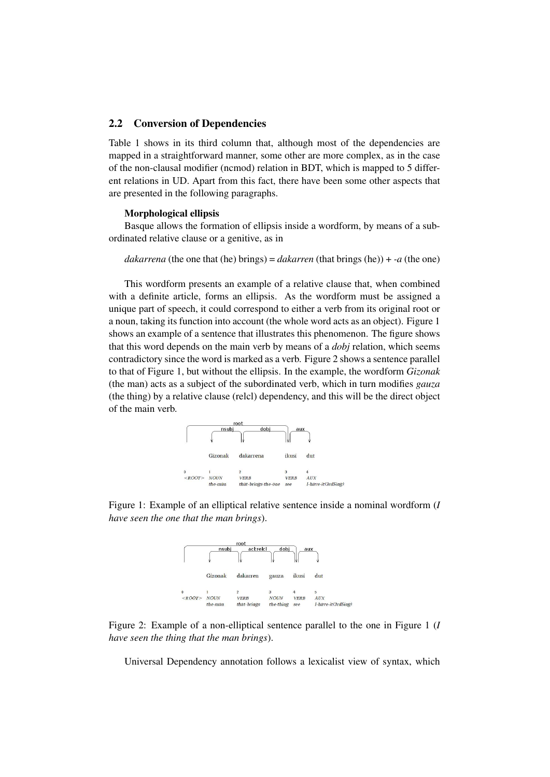#### 2.2 Conversion of Dependencies

Table 1 shows in its third column that, although most of the dependencies are mapped in a straightforward manner, some other are more complex, as in the case of the non-clausal modifier (ncmod) relation in BDT, which is mapped to 5 different relations in UD. Apart from this fact, there have been some other aspects that are presented in the following paragraphs.

#### Morphological ellipsis

Basque allows the formation of ellipsis inside a wordform, by means of a subordinated relative clause or a genitive, as in

*dakarrena* (the one that (he) brings) = *dakarren* (that brings (he)) + *-a* (the one)

This wordform presents an example of a relative clause that, when combined with a definite article, forms an ellipsis. As the wordform must be assigned a unique part of speech, it could correspond to either a verb from its original root or a noun, taking its function into account (the whole word acts as an object). Figure 1 shows an example of a sentence that illustrates this phenomenon. The figure shows that this word depends on the main verb by means of a *dobj* relation, which seems contradictory since the word is marked as a verb. Figure 2 shows a sentence parallel to that of Figure 1, but without the ellipsis. In the example, the wordform *Gizonak* (the man) acts as a subject of the subordinated verb, which in turn modifies *gauza* (the thing) by a relative clause (relcl) dependency, and this will be the direct object of the main verb.



Figure 1: Example of an elliptical relative sentence inside a nominal wordform (*I have seen the one that the man brings*).



Figure 2: Example of a non-elliptical sentence parallel to the one in Figure 1 (*I have seen the thing that the man brings*).

Universal Dependency annotation follows a lexicalist view of syntax, which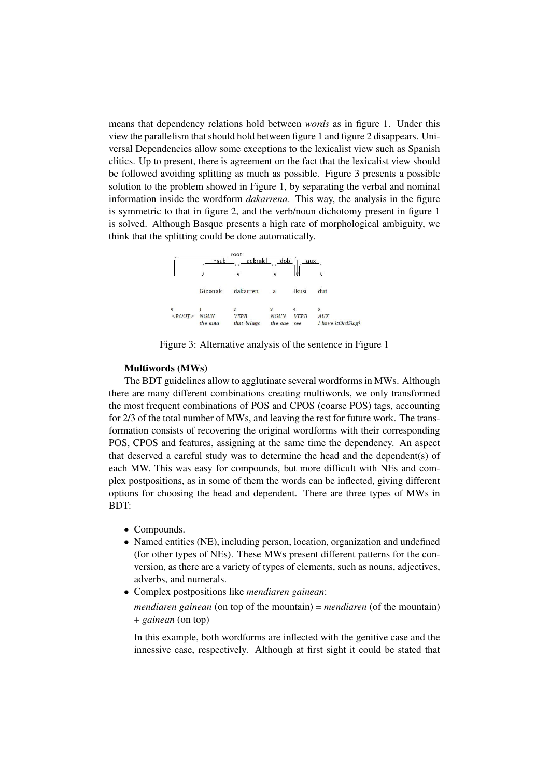means that dependency relations hold between *words* as in figure 1. Under this view the parallelism that should hold between figure 1 and figure 2 disappears. Universal Dependencies allow some exceptions to the lexicalist view such as Spanish clitics. Up to present, there is agreement on the fact that the lexicalist view should be followed avoiding splitting as much as possible. Figure 3 presents a possible solution to the problem showed in Figure 1, by separating the verbal and nominal information inside the wordform *dakarrena*. This way, the analysis in the figure is symmetric to that in figure 2, and the verb/noun dichotomy present in figure 1 is solved. Although Basque presents a high rate of morphological ambiguity, we think that the splitting could be done automatically.



Figure 3: Alternative analysis of the sentence in Figure 1

#### Multiwords (MWs)

The BDT guidelines allow to agglutinate several wordforms in MWs. Although there are many different combinations creating multiwords, we only transformed the most frequent combinations of POS and CPOS (coarse POS) tags, accounting for 2/3 of the total number of MWs, and leaving the rest for future work. The transformation consists of recovering the original wordforms with their corresponding POS, CPOS and features, assigning at the same time the dependency. An aspect that deserved a careful study was to determine the head and the dependent(s) of each MW. This was easy for compounds, but more difficult with NEs and complex postpositions, as in some of them the words can be inflected, giving different options for choosing the head and dependent. There are three types of MWs in BDT:

- Compounds.
- Named entities (NE), including person, location, organization and undefined (for other types of NEs). These MWs present different patterns for the conversion, as there are a variety of types of elements, such as nouns, adjectives, adverbs, and numerals.
- Complex postpositions like *mendiaren gainean*:

*mendiaren gainean* (on top of the mountain) = *mendiaren* (of the mountain) + *gainean* (on top)

In this example, both wordforms are inflected with the genitive case and the innessive case, respectively. Although at first sight it could be stated that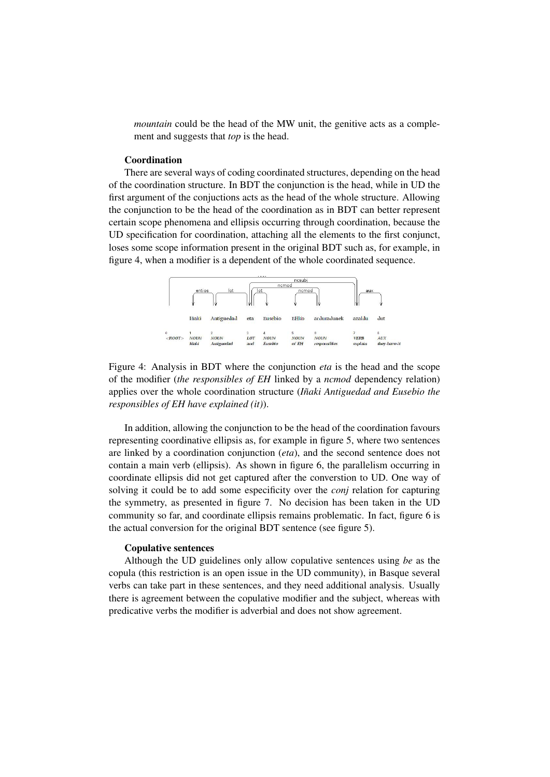*mountain* could be the head of the MW unit, the genitive acts as a complement and suggests that *top* is the head.

#### **Coordination**

There are several ways of coding coordinated structures, depending on the head of the coordination structure. In BDT the conjunction is the head, while in UD the first argument of the conjuctions acts as the head of the whole structure. Allowing the conjunction to be the head of the coordination as in BDT can better represent certain scope phenomena and ellipsis occurring through coordination, because the UD specification for coordination, attaching all the elements to the first conjunct, loses some scope information present in the original BDT such as, for example, in figure 4, when a modifier is a dependent of the whole coordinated sequence.



Figure 4: Analysis in BDT where the conjunction *eta* is the head and the scope of the modifier (*the responsibles of EH* linked by a *ncmod* dependency relation) applies over the whole coordination structure (*Iñaki Antiguedad and Eusebio the responsibles of EH have explained (it)*).

In addition, allowing the conjunction to be the head of the coordination favours representing coordinative ellipsis as, for example in figure 5, where two sentences are linked by a coordination conjunction (*eta*), and the second sentence does not contain a main verb (ellipsis). As shown in figure 6, the parallelism occurring in coordinate ellipsis did not get captured after the converstion to UD. One way of solving it could be to add some especificity over the *conj* relation for capturing the symmetry, as presented in figure 7. No decision has been taken in the UD community so far, and coordinate ellipsis remains problematic. In fact, figure 6 is the actual conversion for the original BDT sentence (see figure 5).

#### Copulative sentences

Although the UD guidelines only allow copulative sentences using *be* as the copula (this restriction is an open issue in the UD community), in Basque several verbs can take part in these sentences, and they need additional analysis. Usually there is agreement between the copulative modifier and the subject, whereas with predicative verbs the modifier is adverbial and does not show agreement.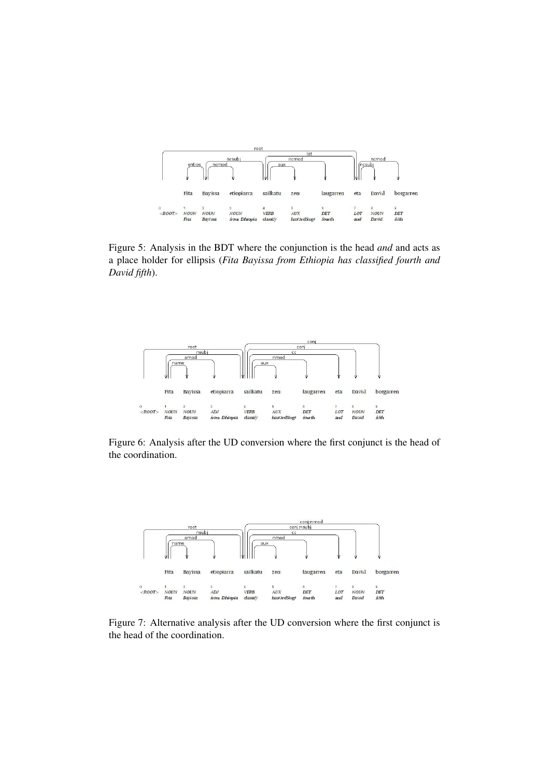

Figure 5: Analysis in the BDT where the conjunction is the head *and* and acts as a place holder for ellipsis (*Fita Bayissa from Ethiopia has classified fourth and David fifth*).



Figure 6: Analysis after the UD conversion where the first conjunct is the head of the coordination.



Figure 7: Alternative analysis after the UD conversion where the first conjunct is the head of the coordination.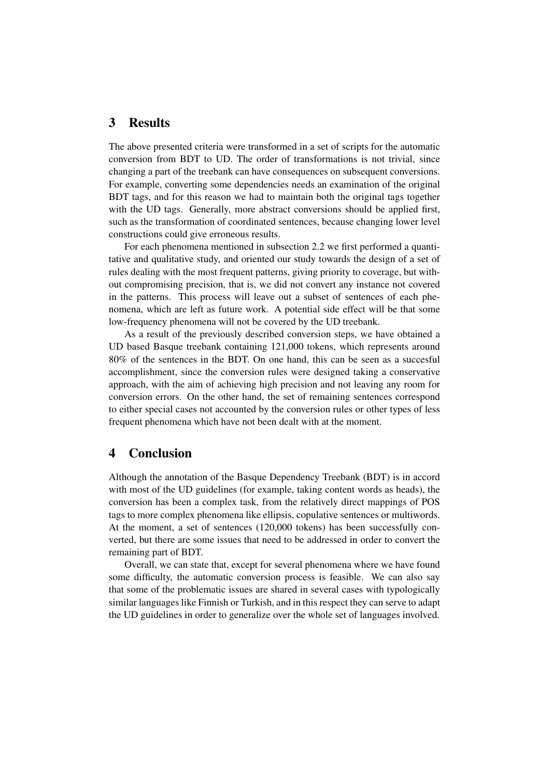## 3 Results

The above presented criteria were transformed in a set of scripts for the automatic conversion from BDT to UD. The order of transformations is not trivial, since changing a part of the treebank can have consequences on subsequent conversions. For example, converting some dependencies needs an examination of the original BDT tags, and for this reason we had to maintain both the original tags together with the UD tags. Generally, more abstract conversions should be applied first, such as the transformation of coordinated sentences, because changing lower level constructions could give erroneous results.

For each phenomena mentioned in subsection 2.2 we first performed a quantitative and qualitative study, and oriented our study towards the design of a set of rules dealing with the most frequent patterns, giving priority to coverage, but without compromising precision, that is, we did not convert any instance not covered in the patterns. This process will leave out a subset of sentences of each phenomena, which are left as future work. A potential side effect will be that some low-frequency phenomena will not be covered by the UD treebank.

As a result of the previously described conversion steps, we have obtained a UD based Basque treebank containing 121,000 tokens, which represents around 80% of the sentences in the BDT. On one hand, this can be seen as a succesful accomplishment, since the conversion rules were designed taking a conservative approach, with the aim of achieving high precision and not leaving any room for conversion errors. On the other hand, the set of remaining sentences correspond to either special cases not accounted by the conversion rules or other types of less frequent phenomena which have not been dealt with at the moment.

## 4 Conclusion

Although the annotation of the Basque Dependency Treebank (BDT) is in accord with most of the UD guidelines (for example, taking content words as heads), the conversion has been a complex task, from the relatively direct mappings of POS tags to more complex phenomena like ellipsis, copulative sentences or multiwords. At the moment, a set of sentences (120,000 tokens) has been successfully converted, but there are some issues that need to be addressed in order to convert the remaining part of BDT.

Overall, we can state that, except for several phenomena where we have found some difficulty, the automatic conversion process is feasible. We can also say that some of the problematic issues are shared in several cases with typologically similar languages like Finnish or Turkish, and in this respect they can serve to adapt the UD guidelines in order to generalize over the whole set of languages involved.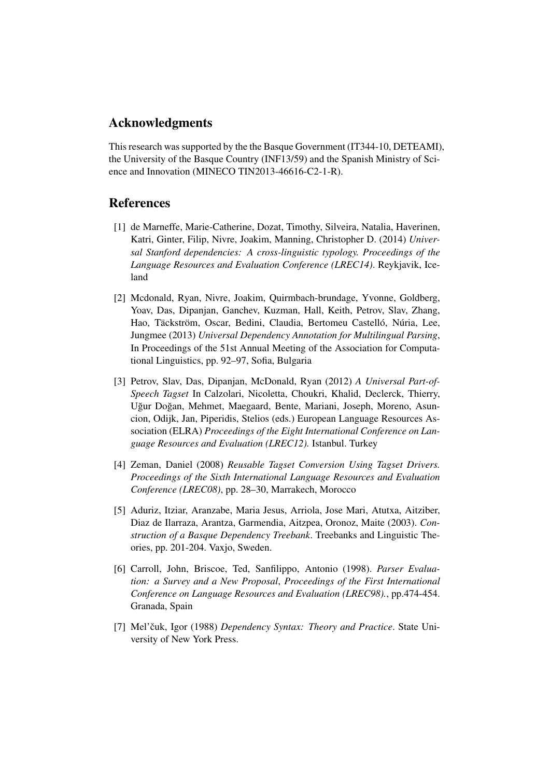## Acknowledgments

This research was supported by the the Basque Government (IT344-10, DETEAMI), the University of the Basque Country (INF13/59) and the Spanish Ministry of Science and Innovation (MINECO TIN2013-46616-C2-1-R).

## References

- [1] de Marneffe, Marie-Catherine, Dozat, Timothy, Silveira, Natalia, Haverinen, Katri, Ginter, Filip, Nivre, Joakim, Manning, Christopher D. (2014) *Universal Stanford dependencies: A cross-linguistic typology. Proceedings of the Language Resources and Evaluation Conference (LREC14)*. Reykjavik, Iceland
- [2] Mcdonald, Ryan, Nivre, Joakim, Quirmbach-brundage, Yvonne, Goldberg, Yoav, Das, Dipanjan, Ganchev, Kuzman, Hall, Keith, Petrov, Slav, Zhang, Hao, Täckström, Oscar, Bedini, Claudia, Bertomeu Castelló, Núria, Lee, Jungmee (2013) *Universal Dependency Annotation for Multilingual Parsing*, In Proceedings of the 51st Annual Meeting of the Association for Computational Linguistics, pp. 92–97, Sofia, Bulgaria
- [3] Petrov, Slav, Das, Dipanjan, McDonald, Ryan (2012) *A Universal Part-of-Speech Tagset* In Calzolari, Nicoletta, Choukri, Khalid, Declerck, Thierry, Uğur Doğan, Mehmet, Maegaard, Bente, Mariani, Joseph, Moreno, Asuncion, Odijk, Jan, Piperidis, Stelios (eds.) European Language Resources Association (ELRA) *Proceedings of the Eight International Conference on Language Resources and Evaluation (LREC12).* Istanbul. Turkey
- [4] Zeman, Daniel (2008) *Reusable Tagset Conversion Using Tagset Drivers. Proceedings of the Sixth International Language Resources and Evaluation Conference (LREC08)*, pp. 28–30, Marrakech, Morocco
- [5] Aduriz, Itziar, Aranzabe, Maria Jesus, Arriola, Jose Mari, Atutxa, Aitziber, Diaz de Ilarraza, Arantza, Garmendia, Aitzpea, Oronoz, Maite (2003). *Construction of a Basque Dependency Treebank*. Treebanks and Linguistic Theories, pp. 201-204. Vaxjo, Sweden.
- [6] Carroll, John, Briscoe, Ted, Sanfilippo, Antonio (1998). *Parser Evaluation: a Survey and a New Proposal*, *Proceedings of the First International Conference on Language Resources and Evaluation (LREC98).*, pp.474-454. Granada, Spain
- [7] Mel'čuk, Igor (1988) Dependency Syntax: Theory and Practice. State University of New York Press.